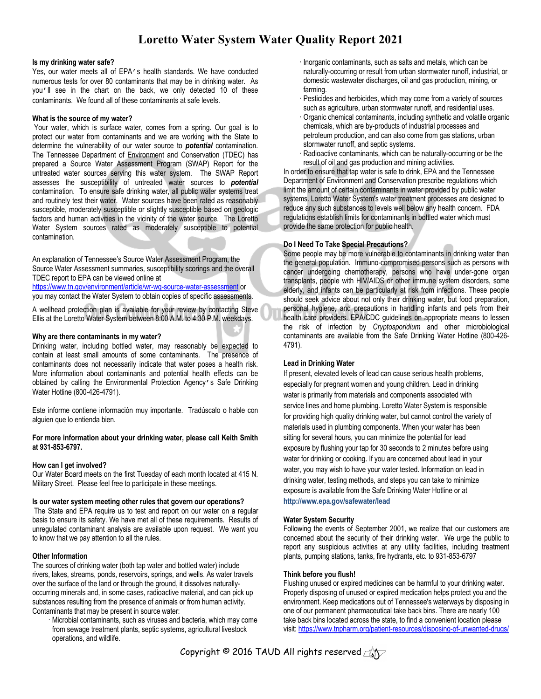## **Loretto Water System Water Quality Report 2021**

#### **Is my drinking water safe?**

Yes, our water meets all of EPA's health standards. We have conducted numerous tests for over 80 contaminants that may be in drinking water. As you'll see in the chart on the back, we only detected 10 of these contaminants. We found all of these contaminants at safe levels.

#### **What is the source of my water?**

Your water, which is surface water, comes from a spring. Our goal is to protect our water from contaminants and we are working with the State to determine the vulnerability of our water source to *potential* contamination. The Tennessee Department of Environment and Conservation (TDEC) has prepared a Source Water Assessment Program (SWAP) Report for the untreated water sources serving this water system. The SWAP Report assesses the susceptibility of untreated water sources to *potential* contamination. To ensure safe drinking water, all public water systems treat and routinely test their water. Water sources have been rated as reasonably susceptible, moderately susceptible or slightly susceptible based on geologic factors and human activities in the vicinity of the water source. The Loretto Water System sources rated as moderately susceptible to potential contamination.

An explanation of Tennessee's Source Water Assessment Program, the Source Water Assessment summaries, susceptibility scorings and the overall TDEC report to EPA can be viewed online at

https://www.tn.gov/environment/article/wr-wq-source-water-assessment or you may contact the Water System to obtain copies of specific assessments.

A wellhead protection plan is available for your review by contacting Steve Ellis at the Loretto Water System between 8:00 A.M. to 4:30 P.M. weekdays.

#### **Why are there contaminants in my water?**

Drinking water, including bottled water, may reasonably be expected to contain at least small amounts of some contaminants. The presence of contaminants does not necessarily indicate that water poses a health risk. More information about contaminants and potential health effects can be obtained by calling the Environmental Protection Agency's Safe Drinking Water Hotline (800-426-4791).

Este informe contiene información muy importante. Tradúscalo o hable con alguien que lo entienda bien.

**For more information about your drinking water, please call Keith Smith at 931-853-6797.**

#### **How can I get involved?**

Our Water Board meets on the first Tuesday of each month located at 415 N. Military Street. Please feel free to participate in these meetings.

#### **Is our water system meeting other rules that govern our operations?**

The State and EPA require us to test and report on our water on a regular basis to ensure its safety. We have met all of these requirements. Results of unregulated contaminant analysis are available upon request. We want you to know that we pay attention to all the rules.

#### **Other Information**

The sources of drinking water (both tap water and bottled water) include rivers, lakes, streams, ponds, reservoirs, springs, and wells. As water travels over the surface of the land or through the ground, it dissolves naturallyoccurring minerals and, in some cases, radioactive material, and can pick up substances resulting from the presence of animals or from human activity. Contaminants that may be present in source water:

Microbial contaminants, such as viruses and bacteria, which may come from sewage treatment plants, septic systems, agricultural livestock operations, and wildlife.

- · Inorganic contaminants, such as salts and metals, which can be naturally-occurring or result from urban stormwater runoff, industrial, or domestic wastewater discharges, oil and gas production, mining, or farming.
- · Pesticides and herbicides, which may come from a variety of sources such as agriculture, urban stormwater runoff, and residential uses.
- Organic chemical contaminants, including synthetic and volatile organic chemicals, which are by-products of industrial processes and petroleum production, and can also come from gas stations, urban stormwater runoff, and septic systems.
- Radioactive contaminants, which can be naturally-occurring or be the result of oil and gas production and mining activities.

In order to ensure that tap water is safe to drink, EPA and the Tennessee Department of Environment and Conservation prescribe regulations which limit the amount of certain contaminants in water provided by public water systems. Loretto Water System's water treatment processes are designed to reduce any such substances to levels well below any health concern. FDA regulations establish limits for contaminants in bottled water which must provide the same protection for public health.

#### **Do I Need To Take Special Precautions?**

Some people may be more vulnerable to contaminants in drinking water than the general population. Immuno-compromised persons such as persons with cancer undergoing chemotherapy, persons who have under-gone organ transplants, people with HIV/AIDS or other immune system disorders, some elderly, and infants can be particularly at risk from infections. These people should seek advice about not only their drinking water, but food preparation, personal hygiene, and precautions in handling infants and pets from their health care providers. EPA/CDC guidelines on appropriate means to lessen the risk of infection by *Cryptosporidium* and other microbiological contaminants are available from the Safe Drinking Water Hotline (800-426- 4791).

#### **Lead in Drinking Water**

If present, elevated levels of lead can cause serious health problems, especially for pregnant women and young children. Lead in drinking water is primarily from materials and components associated with service lines and home plumbing. Loretto Water System is responsible for providing high quality drinking water, but cannot control the variety of materials used in plumbing components. When your water has been sitting for several hours, you can minimize the potential for lead exposure by flushing your tap for 30 seconds to 2 minutes before using water for drinking or cooking. If you are concerned about lead in your water, you may wish to have your water tested. Information on lead in drinking water, testing methods, and steps you can take to minimize exposure is available from the Safe Drinking Water Hotline or at **http://www.epa.gov/safewater/lead**

## **Water System Security**

Following the events of September 2001, we realize that our customers are concerned about the security of their drinking water. We urge the public to report any suspicious activities at any utility facilities, including treatment plants, pumping stations, tanks, fire hydrants, etc. to 931-853-6797

#### **Think before you flush!**

Flushing unused or expired medicines can be harmful to your drinking water. Properly disposing of unused or expired medication helps protect you and the environment. Keep medications out of Tennessee's waterways by disposing in one of our permanent pharmaceutical take back bins. There are nearly 100 take back bins located across the state, to find a convenient location please visit: https://www.tnpharm.org/patient-resources/disposing-of-unwanted-drugs/

Copyright © 2016 TAUD All rights reserved  $\triangle\heartsuit$